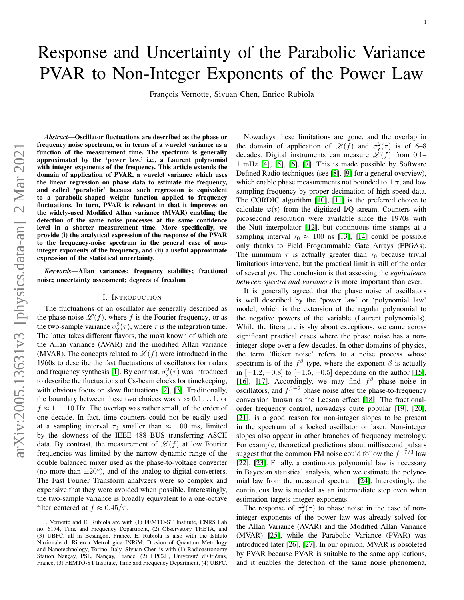# Response and Uncertainty of the Parabolic Variance PVAR to Non-Integer Exponents of the Power Law

François Vernotte, Siyuan Chen, Enrico Rubiola

*Abstract*—Oscillator fluctuations are described as the phase or frequency noise spectrum, or in terms of a wavelet variance as a function of the measurement time. The spectrum is generally approximated by the 'power law,' i.e., a Laurent polynomial with integer exponents of the frequency. This article extends the domain of application of PVAR, a wavelet variance which uses the linear regression on phase data to estimate the frequency, and called 'parabolic' because such regression is equivalent to a parabolic-shaped weight function applied to frequency fluctuations. In turn, PVAR is relevant in that it improves on the widely-used Modified Allan variance (MVAR) enabling the detection of the same noise processes at the same confidence level in a shorter measurement time. More specifically, we provide (i) the analytical expression of the response of the PVAR to the frequency-noise spectrum in the general case of noninteger exponents of the frequency, and (ii) a useful approximate expression of the statistical uncertainty.

*Keywords*—Allan variances; frequency stability; fractional noise; uncertainty assessment; degrees of freedom

#### I. INTRODUCTION

The fluctuations of an oscillator are generally described as the phase noise  $\mathscr{L}(f)$ , where f is the Fourier frequency, or as the two-sample variance  $\sigma_y^2(\tau)$ , where  $\tau$  is the integration time. The latter takes different flavors, the most known of which are the Allan variance (AVAR) and the modified Allan variance (MVAR). The concepts related to  $\mathscr{L}(f)$  were introduced in the 1960s to describe the fast fluctuations of oscillators for radars and frequency synthesis [\[1\]](#page-4-0). By contrast,  $\sigma_y^2(\tau)$  was introduced to describe the fluctuations of Cs-beam clocks for timekeeping, with obvious focus on slow fluctuations [\[2\]](#page-4-1), [\[3\]](#page-4-2). Traditionally, the boundary between these two choices was  $\tau \approx 0.1 \dots 1$ , or  $f \approx 1 \dots 10$  Hz. The overlap was rather small, of the order of one decade. In fact, time counters could not be easily used at a sampling interval  $\tau_0$  smaller than  $\approx 100$  ms, limited by the slowness of the IEEE 488 BUS transferring ASCII data. By contrast, the measurement of  $\mathscr{L}(f)$  at low Fourier frequencies was limited by the narrow dynamic range of the double balanced mixer used as the phase-to-voltage converter (no more than  $\pm 20^{\circ}$ ), and of the analog to digital converters. The Fast Fourier Transform analyzers were so complex and expensive that they were avoided when possible. Interestingly, the two-sample variance is broadly equivalent to a one-octave filter centered at  $f \approx 0.45/\tau$ .

Nowadays these limitations are gone, and the overlap in the domain of application of  $\mathscr{L}(f)$  and  $\sigma_y^2(\tau)$  is of 6–8 decades. Digital instruments can measure  $\mathscr{L}(f)$  from 0.1– 1 mHz [\[4\]](#page-4-3), [\[5\]](#page-4-4), [\[6\]](#page-4-5), [\[7\]](#page-4-6). This is made possible by Software Defined Radio techniques (see [\[8\]](#page-4-7), [\[9\]](#page-4-8) for a general overview), which enable phase measurements not bounded to  $\pm \pi$ , and low sampling frequency by proper decimation of high-speed data. The CORDIC algorithm [\[10\]](#page-4-9), [\[11\]](#page-4-10) is the preferred choice to calculate  $\varphi(t)$  from the digitized I/Q stream. Counters with picosecond resolution were available since the 1970s with the Nutt interpolator [\[12\]](#page-4-11), but continuous time stamps at a sampling interval  $\tau_0 \approx 100$  ns [\[13\]](#page-4-12), [\[14\]](#page-4-13) could be possible only thanks to Field Programmable Gate Arrays (FPGAs). The minimum  $\tau$  is actually greater than  $\tau_0$  because trivial limitations intervene, but the practical limit is still of the order of several µs. The conclusion is that assessing the *equivalence between spectra and variances* is more important than ever.

It is generally agreed that the phase noise of oscillators is well described by the 'power law' or 'polynomial law' model, which is the extension of the regular polynomial to the negative powers of the variable (Laurent polynomials). While the literature is shy about exceptions, we came across significant practical cases where the phase noise has a noninteger slope over a few decades. In other domains of physics, the term 'flicker noise' refers to a noise process whose spectrum is of the  $f^{\beta}$  type, where the exponent  $\beta$  is actually in  $[-1.2, -0.8]$  to  $[-1.5, -0.5]$  depending on the author [\[15\]](#page-4-14), [\[16\]](#page-4-15), [\[17\]](#page-4-16). Accordingly, we may find  $f^{\beta}$  phase noise in oscillators, and  $f^{\beta-2}$  phase noise after the phase-to-frequency conversion known as the Leeson effect [\[18\]](#page-4-17). The fractionalorder frequency control, nowadays quite popular [\[19\]](#page-4-18), [\[20\]](#page-4-19), [\[21\]](#page-4-20), is a good reason for non-integer slopes to be present in the spectrum of a locked oscillator or laser. Non-integer slopes also appear in other branches of frequency metrology. For example, theoretical predictions about millisecond pulsars suggest that the common FM noise could follow the  $f^{-7/3}$  law [\[22\]](#page-4-21), [\[23\]](#page-4-22). Finally, a continuous polynomial law is necessary in Bayesian statistical analysis, when we estimate the polynomial law from the measured spectrum [\[24\]](#page-4-23). Interestingly, the continuous law is needed as an intermediate step even when estimation targets integer exponents.

The response of  $\sigma_y^2(\tau)$  to phase noise in the case of noninteger exponents of the power law was already solved for the Allan Variance (AVAR) and the Modified Allan Variance (MVAR) [\[25\]](#page-4-24), while the Parabolic Variance (PVAR) was introduced later [\[26\]](#page-4-25), [\[27\]](#page-5-0). In our opinion, MVAR is obsoleted by PVAR because PVAR is suitable to the same applications, and it enables the detection of the same noise phenomena,

F. Vernotte and E. Rubiola are with (1) FEMTO-ST Institute, CNRS Lab no. 6174, Time and Frequency Department, (2) Observatory THETA, and (3) UBFC, all in Besançon, France. E. Rubiola is also with the Istituto Nazionale di Ricerca Metrologica INRiM, Divsion of Quantum Metrology and Nanotechnology, Torino, Italy. Siyuan Chen is with (1) Radioastronomy Station Nançay, PSL, Nançay, France, (2) LPC2E, Université d'Orléans, France, (3) FEMTO-ST Institute, Time and Frequency Department, (4) UBFC.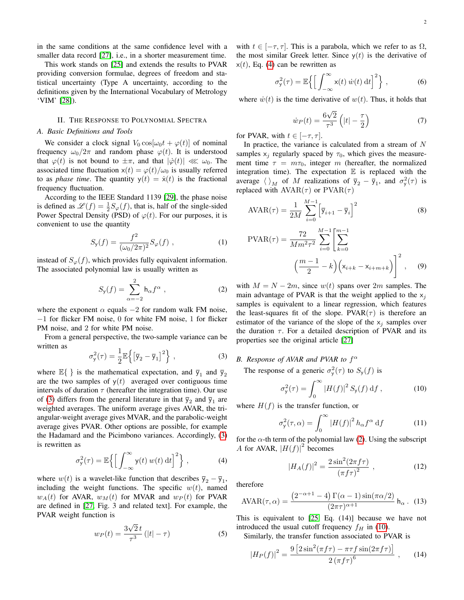in the same conditions at the same confidence level with a smaller data record [\[27\]](#page-5-0), i.e., in a shorter measurement time.

This work stands on [\[25\]](#page-4-24) and extends the results to PVAR providing conversion formulae, degrees of freedom and statistical uncertainty (Type A uncertainty, according to the definitions given by the International Vocabulary of Metrology 'VIM' [\[28\]](#page-5-1)).

## II. THE RESPONSE TO POLYNOMIAL SPECTRA

## *A. Basic Definitions and Tools*

We consider a clock signal  $V_0 \cos[\omega_0 t + \varphi(t)]$  of nominal frequency  $\omega_0/2\pi$  and random phase  $\varphi(t)$ . It is understood that  $\varphi(t)$  is not bound to  $\pm \pi$ , and that  $|\dot{\varphi}(t)| \ll \omega_0$ . The associated time fluctuation  $x(t) = \varphi(t)/\omega_0$  is usually referred to as *phase time*. The quantity  $y(t) = \dot{x}(t)$  is the fractional frequency fluctuation.

According to the IEEE Standard 1139 [\[29\]](#page-5-2), the phase noise is defined as  $\mathscr{L}(f) = \frac{1}{2}S_{\varphi}(f)$ , that is, half of the single-sided Power Spectral Density (PSD) of  $\varphi(t)$ . For our purposes, it is convenient to use the quantity

$$
S_{\mathsf{y}}(f) = \frac{f^2}{(\omega_0/2\pi)^2} S_{\varphi}(f) , \qquad (1)
$$

instead of  $S_{\varphi}(f)$ , which provides fully equivalent information. The associated polynomial law is usually written as

<span id="page-1-2"></span>
$$
S_{\mathsf{y}}(f) = \sum_{\alpha=-2}^{2} \mathsf{h}_{\alpha} f^{\alpha} , \qquad (2)
$$

where the exponent  $\alpha$  equals  $-2$  for random walk FM noise, −1 for flicker FM noise, 0 for white FM noise, 1 for flicker PM noise, and 2 for white PM noise.

From a general perspective, the two-sample variance can be written as

<span id="page-1-0"></span>
$$
\sigma_{\mathsf{y}}^2(\tau) = \frac{1}{2} \mathbb{E} \left\{ \left[ \overline{\mathsf{y}}_2 - \overline{\mathsf{y}}_1 \right]^2 \right\},\tag{3}
$$

where  $\mathbb{E}\{\}$  is the mathematical expectation, and  $\bar{y}_1$  and  $\bar{y}_2$ are the two samples of  $y(t)$  averaged over contiguous time intervals of duration  $\tau$  (hereafter the integration time). Our use of [\(3\)](#page-1-0) differs from the general literature in that  $\bar{y}_2$  and  $\bar{y}_1$  are weighted averages. The uniform average gives AVAR, the triangular-weight average gives MVAR, and the parabolic-weight average gives PVAR. Other options are possible, for example the Hadamard and the Picimbono variances. Accordingly, [\(3\)](#page-1-0) is rewritten as

<span id="page-1-1"></span>
$$
\sigma_{\mathsf{y}}^2(\tau) = \mathbb{E}\left\{ \left[ \int_{-\infty}^{\infty} \mathsf{y}(t) \, w(t) \, \mathrm{d}t \right]^2 \right\},\tag{4}
$$

where  $w(t)$  is a wavelet-like function that describes  $\overline{y}_2 - \overline{y}_1$ , including the weight functions. The specific  $w(t)$ , named  $w_A(t)$  for AVAR,  $w_M(t)$  for MVAR and  $w_P(t)$  for PVAR are defined in [\[27,](#page-5-0) Fig. 3 and related text]. For example, the PVAR weight function is

$$
w_P(t) = \frac{3\sqrt{2}t}{\tau^3} (|t| - \tau)
$$
 (5)

with  $t \in [-\tau, \tau]$ . This is a parabola, which we refer to as  $\Omega$ , the most similar Greek letter. Since  $y(t)$  is the derivative of  $x(t)$ , Eq. [\(4\)](#page-1-1) can be rewritten as

$$
\sigma_{\mathsf{y}}^2(\tau) = \mathbb{E}\left\{ \left[ \int_{-\infty}^{\infty} \mathsf{x}(t) \, \dot{w}(t) \, \mathrm{d}t \right]^2 \right\},\tag{6}
$$

where  $\dot{w}(t)$  is the time derivative of  $w(t)$ . Thus, it holds that

$$
\dot{w}_P(t) = \frac{6\sqrt{2}}{\tau^3} \left( |t| - \frac{\tau}{2} \right) \tag{7}
$$

for PVAR, with  $t \in [-\tau, \tau]$ .

In practice, the variance is calculated from a stream of  $N$ samples  $x_i$  regularly spaced by  $\tau_0$ , which gives the measurement time  $\tau = m\tau_0$ , integer m (hereafter, the normalized integration time). The expectation  $E$  is replaced with the average  $\langle \ \rangle_M$  of M realizations of  $\bar{y}_2 - \bar{y}_1$ , and  $\sigma_y^2(\tau)$  is replaced with  $\text{AVAR}(\tau)$  or  $\text{PVAR}(\tau)$ 

$$
AVAR(\tau) = \frac{1}{2M} \sum_{i=0}^{M-1} \left[ \overline{y}_{i+1} - \overline{y}_i \right]^2
$$
 (8)

$$
PVAR(\tau) = \frac{72}{M m^2 \tau^2} \sum_{i=0}^{M-1} \left[ \sum_{k=0}^{m-1} \left( \frac{m-1}{2} - k \right) \left( x_{i+k} - x_{i+m+k} \right) \right]^2, \quad (9)
$$

with  $M = N - 2m$ , since  $w(t)$  spans over 2m samples. The main advantage of PVAR is that the weight applied to the  $x_i$ samples is equivalent to a linear regression, which features the least-squares fit of the slope. PVAR( $\tau$ ) is therefore an estimator of the variance of the slope of the  $x_i$  samples over the duration  $\tau$ . For a detailed description of PVAR and its properties see the original article [\[27\]](#page-5-0)

# *B. Response of AVAR and PVAR to* f α

The response of a generic  $\sigma_y^2(\tau)$  to  $S_y(f)$  is

<span id="page-1-3"></span>
$$
\sigma_{\mathsf{y}}^{2}(\tau) = \int_{0}^{\infty} |H(f)|^{2} S_{\mathsf{y}}(f) \, \mathrm{d}f , \qquad (10)
$$

where  $H(f)$  is the transfer function, or

<span id="page-1-4"></span>σ

$$
{}_{\mathsf{y}}^{2}(\tau,\alpha) = \int_{0}^{\infty} |H(f)|^{2} h_{\alpha} f^{\alpha} df \qquad (11)
$$

for the  $\alpha$ -th term of the polynomial law [\(2\)](#page-1-2). Using the subscript A for AVAR,  $|H(f)|^2$  becomes

<span id="page-1-6"></span><span id="page-1-5"></span>
$$
|H_A(f)|^2 = \frac{2\sin^2(2\pi f\tau)}{(\pi f\tau)^2} \,,\tag{12}
$$

therefore

$$
AVAR(\tau, \alpha) = \frac{\left(2^{-\alpha+1} - 4\right)\Gamma(\alpha - 1)\sin(\pi\alpha/2)}{(2\pi\tau)^{\alpha+1}} h_{\alpha}.
$$
 (13)

This is equivalent to [\[25,](#page-4-24) Eq. (14)] because we have not introduced the usual cutoff frequency  $f_H$  in [\(10\)](#page-1-3).

Similarly, the transfer function associated to PVAR is

$$
|H_P(f)|^2 = \frac{9\left[2\sin^2(\pi f\tau) - \pi\tau f\sin(2\pi f\tau)\right]}{2\left(\pi f\tau\right)^6} \,,\tag{14}
$$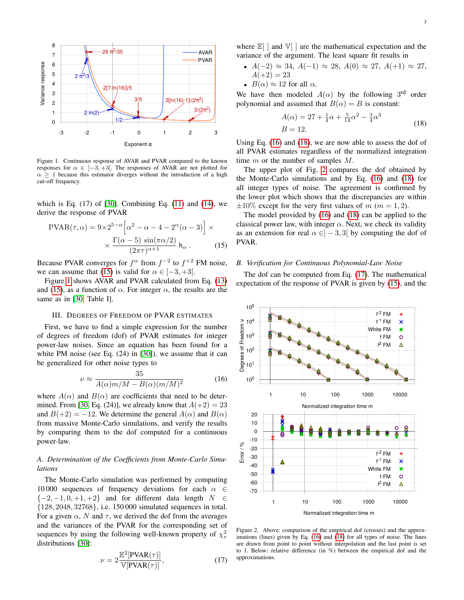

<span id="page-2-1"></span>Figure 1. Continuous response of AVAR and PVAR compared to the known responses for  $\alpha \in [-3, +3]$ . The responses of AVAR are not plotted for  $\alpha \geq 1$  because this estimator diverges without the introduction of a high cut-off frequency.

which is Eq.  $(17)$  of  $[30]$ . Combining Eq.  $(11)$  and  $(14)$ , we derive the response of PVAR

$$
PVAR(\tau, \alpha) = 9 \times 2^{5-\alpha} \left[ \alpha^2 - \alpha - 4 - 2^{\alpha} (\alpha - 3) \right] \times \times \frac{\Gamma(\alpha - 5) \sin(\pi \alpha/2)}{(2\pi \tau)^{\alpha + 1}} h_{\alpha}.
$$
 (15)

Because PVAR converges for  $f^{\alpha}$  from  $f^{-2}$  to  $f^{+2}$  FM noise, we can assume that [\(15\)](#page-2-0) is valid for  $\alpha \in [-3, +3[$ .

Figure [1](#page-2-1) shows AVAR and PVAR calculated from Eq. [\(13\)](#page-1-6) and [\(15\)](#page-2-0), as a function of  $\alpha$ . For integer  $\alpha$ , the results are the same as in [\[30,](#page-5-3) Table I].

## III. DEGREES OF FREEDOM OF PVAR ESTIMATES

First, we have to find a simple expression for the number of degrees of freedom (dof) of PVAR estimates for integer power-law noises. Since an equation has been found for a white PM noise (see Eq. (24) in [\[30\]](#page-5-3)), we assume that it can be generalized for other noise types to

<span id="page-2-2"></span>
$$
\nu \approx \frac{35}{A(\alpha)m/M - B(\alpha)(m/M)^2} \tag{16}
$$

where  $A(\alpha)$  and  $B(\alpha)$  are coefficients that need to be deter-mined. From [\[30,](#page-5-3) Eq. (24)], we already know that  $A(+2) = 23$ and  $B(+2) = -12$ . We determine the general  $A(\alpha)$  and  $B(\alpha)$ from massive Monte-Carlo simulations, and verify the results by comparing them to the dof computed for a continuous power-law.

## *A. Determination of the Coefficients from Monte-Carlo Simulations*

The Monte-Carlo simulation was performed by computing 10 000 sequences of frequency deviations for each  $\alpha \in$  $\{-2, -1, 0, +1, +2\}$  and for different data length  $N \in$ {128, 2048, 32768}, i.e. 150 000 simulated sequences in total. For a given  $\alpha$ , N and  $\tau$ , we derived the dof from the averages and the variances of the PVAR for the corresponding set of sequences by using the following well-known property of  $\chi^2_{\nu}$ distributions [\[30\]](#page-5-3):

<span id="page-2-5"></span>
$$
\nu = 2 \frac{\mathbb{E}^2[\text{PVAR}(\tau)]}{\mathbb{V}[\text{PVAR}(\tau)]},\tag{17}
$$

where  $\mathbb{E}[\ ]$  and  $\mathbb{V}[\ ]$  are the mathematical expectation and the variance of the argument. The least square fit results in

- $A(-2) \approx 34$ ,  $A(-1) \approx 28$ ,  $A(0) \approx 27$ ,  $A(+1) \approx 27$ ,  $A(+2) = 23$
- $B(\alpha) \approx 12$  for all  $\alpha$ .

We have then modeled  $A(\alpha)$  by the following 3<sup>rd</sup> order polynomial and assumed that  $B(\alpha) = B$  is constant:

<span id="page-2-3"></span>
$$
A(\alpha) = 27 + \frac{1}{4}\alpha + \frac{5}{14}\alpha^2 - \frac{3}{4}\alpha^3
$$
  
\n
$$
B = 12.
$$
 (18)

Using Eq. [\(16\)](#page-2-2) and [\(18\)](#page-2-3), we are now able to assess the dof of all PVAR estimates regardless of the normalized integration time m or the number of samples M.

The upper plot of Fig. [2](#page-2-4) compares the dof obtained by the Monte-Carlo simulations and by Eq. [\(16\)](#page-2-2) and [\(18\)](#page-2-3) for all integer types of noise. The agreement is confirmed by the lower plot which shows that the discrepancies are within  $\pm 10\%$  except for the very first values of m (m = 1, 2).

The model provided by [\(16\)](#page-2-2) and [\(18\)](#page-2-3) can be applied to the classical power law, with integer  $\alpha$ . Next, we check its validity as an extension for real  $\alpha \in ]-3,3[$  by computing the dof of PVAR.

## <span id="page-2-0"></span>*B. Verification for Continuous Polynomial-Law Noise*

The dof can be computed from Eq. [\(17\)](#page-2-5). The mathematical expectation of the response of PVAR is given by [\(15\)](#page-2-0), and the



<span id="page-2-4"></span>Figure 2. Above: comparison of the empirical dof (crosses) and the approximations (lines) given by Eq. [\(16\)](#page-2-2) and [\(18\)](#page-2-3) for all types of noise. The lines are drawn from point to point without interpolation and the last point is set to 1. Below: relative difference (in %) between the empirical dof and the approximations.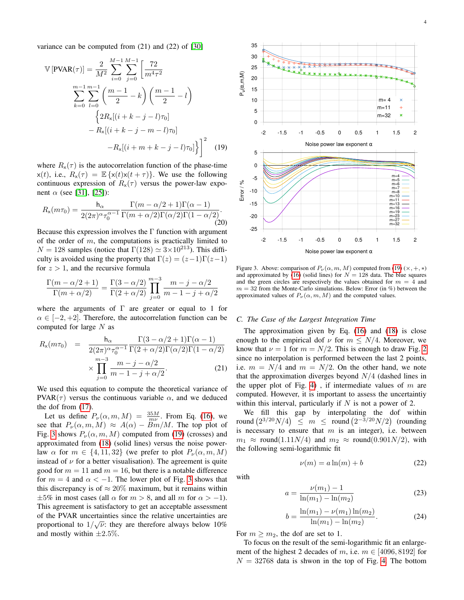variance can be computed from (21) and (22) of [\[30\]](#page-5-3)

$$
\mathbb{V}\left[\text{PVAR}(\tau)\right] = \frac{2}{M^2} \sum_{i=0}^{M-1} \sum_{j=0}^{M-1} \left[\frac{72}{m^4 \tau^2}\right]
$$

$$
\sum_{k=0}^{m-1} \sum_{l=0}^{m-1} \left(\frac{m-1}{2} - k\right) \left(\frac{m-1}{2} - l\right)
$$

$$
\left\{2R_x[(i+k-j-l)\tau_0]\right.
$$

$$
-R_x[(i+k-j-m-l)\tau_0]
$$

$$
-R_x[(i+m+k-j-l)\tau_0]\right\}^2 \tag{19}
$$

where  $R_{x}(\tau)$  is the autocorrelation function of the phase-time  $x(t)$ , i.e.,  $R_x(\tau) = \mathbb{E}\{x(t)x(t+\tau)\}\$ . We use the following continuous expression of  $R_{\rm x}(\tau)$  versus the power-law exponent  $\alpha$  (see [\[31\]](#page-5-4), [\[25\]](#page-4-24)):

$$
R_{\mathsf{x}}(m\tau_0) = \frac{\mathsf{h}_{\alpha}}{2(2\pi)^{\alpha}\tau_0^{\alpha-1}} \frac{\Gamma(m-\alpha/2+1)\Gamma(\alpha-1)}{\Gamma(m+\alpha/2)\Gamma(\alpha/2)\Gamma(1-\alpha/2)}.\tag{20}
$$

Because this expression involves the  $\Gamma$  function with argument of the order of  $m$ , the computations is practically limited to  $N = 128$  samples (notice that  $\Gamma(128) \simeq 3 \times 10^{213}$ ). This difficulty is avoided using the property that  $\Gamma(z) = (z-1)\Gamma(z-1)$ for  $z > 1$ , and the recursive formula

$$
\frac{\Gamma(m-\alpha/2+1)}{\Gamma(m+\alpha/2)} = \frac{\Gamma(3-\alpha/2)}{\Gamma(2+\alpha/2)} \prod_{j=0}^{m-3} \frac{m-j-\alpha/2}{m-1-j+\alpha/2}
$$

where the arguments of  $\Gamma$  are greater or equal to 1 for  $\alpha \in [-2, +2]$ . Therefore, the autocorrelation function can be computed for large  $N$  as

$$
R_{\mathsf{x}}(m\tau_0) = \frac{\mathsf{h}_{\alpha}}{2(2\pi)^{\alpha}\tau_0^{\alpha-1}} \frac{\Gamma(3-\alpha/2+1)\Gamma(\alpha-1)}{\Gamma(2+\alpha/2)\Gamma(\alpha/2)\Gamma(1-\alpha/2)} \times \prod_{j=0}^{m-3} \frac{m-j-\alpha/2}{m-1-j+\alpha/2}.
$$
 (21)

We used this equation to compute the theoretical variance of PVAR( $\tau$ ) versus the continuous variable  $\alpha$ , and we deduced the dof from [\(17\)](#page-2-5).

Let us define  $P_{\nu}(\alpha, m, M) = \frac{35M}{m\nu}$ . From Eq. [\(16\)](#page-2-2), we see that  $P_{\nu}(\alpha, m, M) \approx A(\alpha) - Bm/M$ . The top plot of Fig. [3](#page-3-0) shows  $P_{\nu}(\alpha, m, M)$  computed from [\(19\)](#page-3-1) (crosses) and approximated from [\(18\)](#page-2-3) (solid lines) versus the noise powerlaw  $\alpha$  for  $m \in \{4, 11, 32\}$  (we prefer to plot  $P_{\nu}(\alpha, m, M)$ instead of  $\nu$  for a better visualisation). The agreement is quite good for  $m = 11$  and  $m = 16$ , but there is a notable difference for  $m = 4$  and  $\alpha < -1$ . The lower plot of Fig. [3](#page-3-0) shows that this discrepancy is of  $\approx 20\%$  maximum, but it remains within  $\pm 5\%$  in most cases (all  $\alpha$  for  $m > 8$ , and all m for  $\alpha > -1$ ). This agreement is satisfactory to get an acceptable assessment of the PVAR uncertainties since the relative uncertainties are proportional to  $1/\sqrt{\nu}$ : they are therefore always below 10% and mostly within  $\pm 2.5\%$ .

<span id="page-3-1"></span>

<span id="page-3-0"></span>Figure 3. Above: comparison of  $P_\nu(\alpha, m, M)$  computed from [\(19\)](#page-3-1) ( $\times, +, *\}$ ) and approximated by [\(16\)](#page-2-2) (solid lines) for  $N = 128$  data. The blue squares and the green circles are respectively the values obtained for  $m = 4$  and  $m = 32$  from the Monte-Carlo simulations. Below: Error (in %) between the approximated values of  $P_{\nu}(\alpha, m, M)$  and the computed values.

## *C. The Case of the Largest Integration Time*

The approximation given by Eq. [\(16\)](#page-2-2) and [\(18\)](#page-2-3) is close enough to the empirical dof  $\nu$  for  $m \le N/4$ . Moreover, we know that  $\nu = 1$  for  $m = N/2$ . This is enough to draw Fig. [2](#page-2-4) since no interpolation is performed between the last 2 points, i.e.  $m = N/4$  and  $m = N/2$ . On the other hand, we note that the approximation diverges beyond  $N/4$  (dashed lines in the upper plot of Fig. [4\)](#page-4-26), if intermediate values of  $m$  are computed. However, it is important to assess the uncertaintiy within this interval, particularly if  $N$  is not a power of 2.

We fill this gap by interpolating the dof within round  $(2^{3/20}N/4) \le m \le$  round  $(2^{-3/20}N/2)$  (rounding is necessary to ensure that  $m$  is an integer), i.e. between  $m_1 \approx$  round(1.11N/4) and  $m_2 \approx$  round(0.901N/2), with the following semi-logarithmic fit

with

$$
a = \frac{\nu(m_1) - 1}{\ln(m_1) - \ln(m_2)}\tag{23}
$$

 $\nu(m) = a \ln(m) + b$ (22)

$$
b = \frac{\ln(m_1) - \nu(m_1)\ln(m_2)}{\ln(m_1) - \ln(m_2)}.
$$
 (24)

For  $m \geq m_2$ , the dof are set to 1.

To focus on the result of the semi-logarithmic fit an enlargement of the highest 2 decades of m, i.e.  $m \in [4096, 8192]$  for  $N = 32768$  data is shwon in the top of Fig. [4.](#page-4-26) The bottom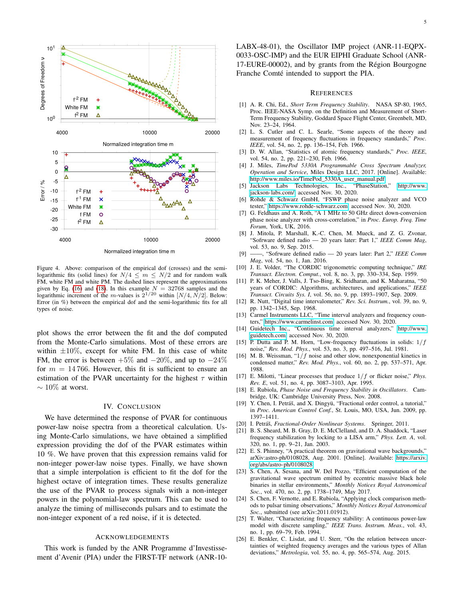

<span id="page-4-26"></span>Figure 4. Above: comparison of the empirical dof (crosses) and the semilogarithmic fits (solid lines) for  $N/4 \leq m \leq N/2$  and for random walk FM, white FM and white PM. The dashed lines represent the approximations given by Eq. [\(16\)](#page-2-2) and [\(18\)](#page-2-3). In this example  $N = 32768$  samples and the logarithmic increment of the m-values is  $2^{1/20}$  within  $[N/4, N/2]$ . Below: Error (in %) between the empirical dof and the semi-logarithmic fits for all types of noise.

plot shows the error between the fit and the dof computed from the Monte-Carlo simulations. Most of these errors are within  $\pm 10\%$ , except for white FM. In this case of white FM, the error is between  $+5\%$  and  $-20\%$ , and up to  $-24\%$ for  $m = 14766$ . However, this fit is sufficient to ensure an estimation of the PVAR uncertainty for the highest  $\tau$  within  $\sim 10\%$  at worst.

## IV. CONCLUSION

We have determined the response of PVAR for continuous power-law noise spectra from a theoretical calculation. Using Monte-Carlo simulations, we have obtained a simplified expression providing the dof of the PVAR estimates within 10 %. We have proven that this expression remains valid for non-integer power-law noise types. Finally, we have shown that a simple interpolation is efficient to fit the dof for the highest octave of integration times. These results generalize the use of the PVAR to process signals with a non-integer powers in the polynomial-law spectrum. This can be used to analyze the timing of milliseconds pulsars and to estimate the non-integer exponent of a red noise, if it is detected.

## ACKNOWLEDGEMENTS

This work is funded by the ANR Programme d'Investissement d'Avenir (PIA) under the FIRST-TF network (ANR-10LABX-48-01), the Oscillator IMP project (ANR-11-EQPX-0033-OSC-IMP) and the EUR EIPHI Graduate School (ANR-17-EURE-00002), and by grants from the Région Bourgogne Franche Comté intended to support the PIA.

#### **REFERENCES**

- <span id="page-4-0"></span>[1] A. R. Chi, Ed., *Short Term Frequency Stability*. NASA SP-80, 1965, Proc. IEEE-NASA Symp. on the Definition and Measurement of Short-Term Frequency Stability, Goddard Space Flight Center, Greenbelt, MD, Nov. 23–24, 1964.
- <span id="page-4-1"></span>[2] L. S. Cutler and C. L. Searle, "Some aspects of the theory and measurement of frequency fluctuations in frequency standards," *Proc. IEEE*, vol. 54, no. 2, pp. 136–154, Feb. 1966.
- <span id="page-4-2"></span>[3] D. W. Allan, "Statistics of atomic frequency standards," *Proc. IEEE*, vol. 54, no. 2, pp. 221–230, Feb. 1966.
- <span id="page-4-3"></span>[4] J. Miles, *TimePod 5330A Programmable Cross Spectrum Analyzer, Operation and Service*, Miles Design LLC, 2017. [Online]. Available: [http://www.miles.io/TimePod\\_5330A\\_user\\_manual.pdf](http://www.miles.io/TimePod_5330A_user_manual.pdf)
- <span id="page-4-4"></span>[5] Jackson Labs Technologies, Inc., "PhaseStation," [http://www.](http://www.jackson-labs.com/) [jackson-labs.com/,](http://www.jackson-labs.com/) accessed Nov. 30, 2020.
- <span id="page-4-5"></span>[6] Rohde & Schwarz GmbH, "FSWP phase noise analyzer and VCO tester," [https://www.rohde-schwarz.com,](https://www.rohde-schwarz.com) accessed Nov. 30, 2020.
- <span id="page-4-6"></span>[7] G. Feldhaus and A. Roth, "A 1 MHz to 50 GHz direct down-conversion phase noise analyzer with cross-correlation," in *Proc. Europ. Freq. Time Forum*, York, UK, 2016.
- <span id="page-4-7"></span>[8] J. Mitola, P. Marshall, K.-C. Chen, M. Mueck, and Z. G. Zvonar, "Sofrware defined radio — 20 years later: Part 1," *IEEE Comm Mag*, vol. 53, no. 9, Sep. 2015.
- <span id="page-4-8"></span>[9] ——, "Sofrware defined radio — 20 years later: Part 2," *IEEE Comm Mag*, vol. 54, no. 1, Jan. 2016.
- <span id="page-4-9"></span>[10] J. E. Volder, "The CORDIC trigonometric computing technique," *IRE Transact. Electron. Comput.*, vol. 8, no. 3, pp. 330–334, Sep. 1959.
- <span id="page-4-10"></span>[11] P. K. Meher, J. Valls, J. Tso-Bing, K. Sridharan, and K. Maharatna, "50 years of CORDIC: Algorithms, architectures, and applications," *IEEE Transact. Circuits Sys. I*, vol. 56, no. 9, pp. 1893–1907, Sep. 2009.
- <span id="page-4-11"></span>[12] R. Nutt, "Digital time intervalometer," *Rev. Sci. Instrum.*, vol. 39, no. 9, pp. 1342–1345, Sep. 1968.
- <span id="page-4-12"></span>[13] Carmel Instruments LLC, "Time interval analyzers and frequency counters," [https://www.carmelinst.com,](https://www.carmelinst.com) accessed Nov. 30, 2020.
- <span id="page-4-13"></span>[14] Guidetech Inc., "Continuous time interval analyzers," [http://www.](http://www.guidetech.com) [guidetech.com,](http://www.guidetech.com) accessed Nov. 30, 2020.
- <span id="page-4-14"></span>[15] P. Dutta and P. M. Horn, "Low-frequency fluctuations in solids:  $1/f$ noise," *Rev. Mod. Phys.*, vol. 53, no. 3, pp. 497–516, Jul. 1981.
- <span id="page-4-15"></span>[16] M. B. Weissman, " $1/f$  noise and other slow, nonexponential kinetics in condensed matter," *Rev. Mod. Phys.*, vol. 60, no. 2, pp. 537–571, Apr. 1988.
- <span id="page-4-16"></span>[17] E. Milotti, "Linear processes that produce 1/f or flicker noise," *Phys. Rev. E*, vol. 51, no. 4, pp. 3087–3103, Apr. 1995.
- <span id="page-4-17"></span>[18] E. Rubiola, *Phase Noise and Frequency Stability in Oscillators*. Cambridge, UK: Cambridge University Press, Nov. 2008.
- <span id="page-4-18"></span>[19] Y. Chen, I. Petráš, and X. Dingyü, "Fractional order control, a tutorial," in *Proc. American Control Conf.*, St. Louis, MO, USA, Jun. 2009, pp. 1397–1411.
- <span id="page-4-19"></span>[20] I. Petráš, Fractional-Order Nonlinear Systems. Springer, 2011.
- <span id="page-4-20"></span>[21] B. S. Sheard, M. B. Gray, D. E. McClelland, and D. A. Shaddock, "Laser frequency stabilization by locking to a LISA arm," *Phys. Lett. A*, vol. 320, no. 1, pp. 9–21, Jan. 2003.
- <span id="page-4-21"></span>[22] E. S. Phinney, "A practical theorem on gravitational wave backgrounds," arXiv:astro-ph/0108028, Aug. 2001. [Online]. Available: [https://arxiv.](https://arxiv.org/abs/astro-ph/0108028) [org/abs/astro-ph/0108028](https://arxiv.org/abs/astro-ph/0108028)
- <span id="page-4-22"></span>[23] S. Chen, A. Sesana, and W. Del Pozzo, "Efficient computation of the gravitational wave spectrum emitted by eccentric massive black hole binaries in stellar environments," *Monthly Notices Royal Astronomical Soc.*, vol. 470, no. 2, pp. 1738–1749, May 2017.
- <span id="page-4-23"></span>[24] S. Chen, F. Vernotte, and E. Rubiola, "Applying clock comparison methods to pulsar timing observations," *Monthly Notices Royal Astronomical Soc.*, submitted (see arXiv:2011.01912).
- <span id="page-4-24"></span>[25] T. Walter, "Characterizing frequency stability: A continuous power-law model with discrete sampling," *IEEE Trans. Instrum. Meas.*, vol. 43, no. 1, pp. 69–79, Feb. 1994.
- <span id="page-4-25"></span>[26] E. Benkler, C. Lisdat, and U. Sterr, "On the relation between uncertainties of weighted frequency averages and the various types of Allan deviations," *Metrologia*, vol. 55, no. 4, pp. 565–574, Aug. 2015.